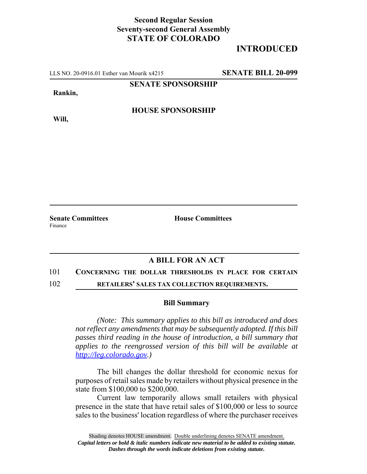## **Second Regular Session Seventy-second General Assembly STATE OF COLORADO**

# **INTRODUCED**

LLS NO. 20-0916.01 Esther van Mourik x4215 **SENATE BILL 20-099**

**SENATE SPONSORSHIP**

**Rankin,**

**Will,**

**HOUSE SPONSORSHIP**

**Senate Committees House Committees** 

Finance

## **A BILL FOR AN ACT**

### 101 **CONCERNING THE DOLLAR THRESHOLDS IN PLACE FOR CERTAIN**

102 **RETAILERS' SALES TAX COLLECTION REQUIREMENTS.**

#### **Bill Summary**

*(Note: This summary applies to this bill as introduced and does not reflect any amendments that may be subsequently adopted. If this bill passes third reading in the house of introduction, a bill summary that applies to the reengrossed version of this bill will be available at http://leg.colorado.gov.)*

The bill changes the dollar threshold for economic nexus for purposes of retail sales made by retailers without physical presence in the state from \$100,000 to \$200,000.

Current law temporarily allows small retailers with physical presence in the state that have retail sales of \$100,000 or less to source sales to the business' location regardless of where the purchaser receives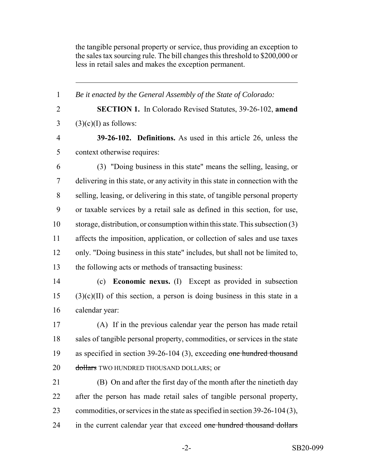the tangible personal property or service, thus providing an exception to the sales tax sourcing rule. The bill changes this threshold to \$200,000 or less in retail sales and makes the exception permanent.

 *Be it enacted by the General Assembly of the State of Colorado:* **SECTION 1.** In Colorado Revised Statutes, 39-26-102, **amend** (3)(c)(I) as follows: **39-26-102. Definitions.** As used in this article 26, unless the context otherwise requires: (3) "Doing business in this state" means the selling, leasing, or delivering in this state, or any activity in this state in connection with the selling, leasing, or delivering in this state, of tangible personal property or taxable services by a retail sale as defined in this section, for use, storage, distribution, or consumption within this state. This subsection (3) affects the imposition, application, or collection of sales and use taxes only. "Doing business in this state" includes, but shall not be limited to, the following acts or methods of transacting business: (c) **Economic nexus.** (I) Except as provided in subsection

 (3)(c)(II) of this section, a person is doing business in this state in a calendar year:

 (A) If in the previous calendar year the person has made retail sales of tangible personal property, commodities, or services in the state as specified in section 39-26-104 (3), exceeding one hundred thousand 20 dollars TWO HUNDRED THOUSAND DOLLARS; or

 (B) On and after the first day of the month after the ninetieth day after the person has made retail sales of tangible personal property, commodities, or services in the state as specified in section 39-26-104 (3), 24 in the current calendar year that exceed one hundred thousand dollars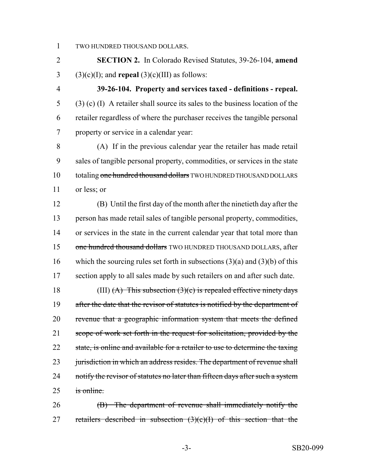1 TWO HUNDRED THOUSAND DOLLARS.

2 **SECTION 2.** In Colorado Revised Statutes, 39-26-104, **amend** 3 (3)(c)(I); and **repeal** (3)(c)(III) as follows:

 **39-26-104. Property and services taxed - definitions - repeal.** (3) (c) (I) A retailer shall source its sales to the business location of the retailer regardless of where the purchaser receives the tangible personal property or service in a calendar year:

 (A) If in the previous calendar year the retailer has made retail sales of tangible personal property, commodities, or services in the state 10 totaling one hundred thousand dollars TWO HUNDRED THOUSAND DOLLARS or less; or

 (B) Until the first day of the month after the ninetieth day after the person has made retail sales of tangible personal property, commodities, or services in the state in the current calendar year that total more than 15 one hundred thousand dollars TWO HUNDRED THOUSAND DOLLARS, after which the sourcing rules set forth in subsections (3)(a) and (3)(b) of this 17 section apply to all sales made by such retailers on and after such date.

18 (III)  $(A)$  This subsection  $(3)(c)$  is repealed effective ninety days 19 after the date that the revisor of statutes is notified by the department of 20 revenue that a geographic information system that meets the defined 21 scope of work set forth in the request for solicitation, provided by the 22 state, is online and available for a retailer to use to determine the taxing 23 jurisdiction in which an address resides. The department of revenue shall 24 notify the revisor of statutes no later than fifteen days after such a system  $25$  is online.

26 (B) The department of revenue shall immediately notify the 27 retailers described in subsection  $(3)(c)(1)$  of this section that the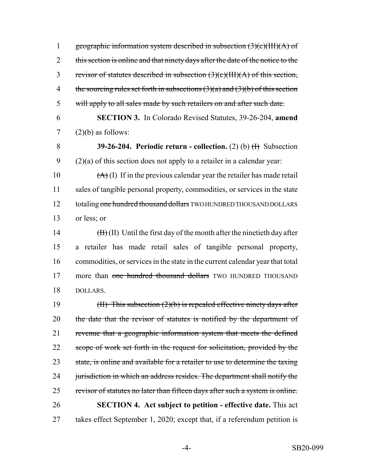1 geographic information system described in subsection  $(3)(c)(III)(A)$  of 2 this section is online and that ninety days after the date of the notice to the 3 revisor of statutes described in subsection (3)(c)(III)(A) of this section, 4 the sourcing rules set forth in subsections  $(3)(a)$  and  $(3)(b)$  of this section 5 will apply to all sales made by such retailers on and after such date. 6 **SECTION 3.** In Colorado Revised Statutes, 39-26-204, **amend**  $7$  (2)(b) as follows:

8 **39-26-204. Periodic return - collection.** (2) (b)  $\oplus$  Subsection  $9$  (2)(a) of this section does not apply to a retailer in a calendar year:

 $(A)$  (I) If in the previous calendar year the retailer has made retail sales of tangible personal property, commodities, or services in the state 12 totaling one hundred thousand dollars TWO HUNDRED THOUSAND DOLLARS or less; or

14  $(B)$  (II) Until the first day of the month after the ninetieth day after 15 a retailer has made retail sales of tangible personal property, 16 commodities, or services in the state in the current calendar year that total 17 more than one hundred thousand dollars TWO HUNDRED THOUSAND 18 DOLLARS.

19 (II) This subsection (2)(b) is repealed effective ninety days after 20 the date that the revisor of statutes is notified by the department of 21 revenue that a geographic information system that meets the defined 22 scope of work set forth in the request for solicitation, provided by the 23 state, is online and available for a retailer to use to determine the taxing 24 jurisdiction in which an address resides. The department shall notify the 25 revisor of statutes no later than fifteen days after such a system is online. 26 **SECTION 4. Act subject to petition - effective date.** This act 27 takes effect September 1, 2020; except that, if a referendum petition is